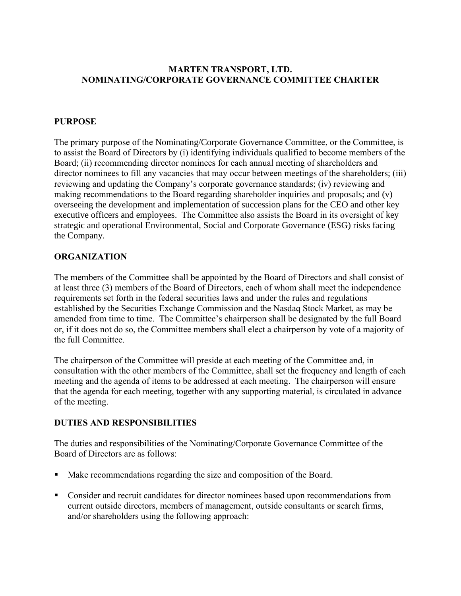## **MARTEN TRANSPORT, LTD. NOMINATING/CORPORATE GOVERNANCE COMMITTEE CHARTER**

## **PURPOSE**

The primary purpose of the Nominating/Corporate Governance Committee, or the Committee, is to assist the Board of Directors by (i) identifying individuals qualified to become members of the Board; (ii) recommending director nominees for each annual meeting of shareholders and director nominees to fill any vacancies that may occur between meetings of the shareholders; (iii) reviewing and updating the Company's corporate governance standards; (iv) reviewing and making recommendations to the Board regarding shareholder inquiries and proposals; and (v) overseeing the development and implementation of succession plans for the CEO and other key executive officers and employees. The Committee also assists the Board in its oversight of key strategic and operational Environmental, Social and Corporate Governance (ESG) risks facing the Company.

## **ORGANIZATION**

The members of the Committee shall be appointed by the Board of Directors and shall consist of at least three (3) members of the Board of Directors, each of whom shall meet the independence requirements set forth in the federal securities laws and under the rules and regulations established by the Securities Exchange Commission and the Nasdaq Stock Market, as may be amended from time to time. The Committee's chairperson shall be designated by the full Board or, if it does not do so, the Committee members shall elect a chairperson by vote of a majority of the full Committee.

The chairperson of the Committee will preside at each meeting of the Committee and, in consultation with the other members of the Committee, shall set the frequency and length of each meeting and the agenda of items to be addressed at each meeting. The chairperson will ensure that the agenda for each meeting, together with any supporting material, is circulated in advance of the meeting.

## **DUTIES AND RESPONSIBILITIES**

The duties and responsibilities of the Nominating/Corporate Governance Committee of the Board of Directors are as follows:

- Make recommendations regarding the size and composition of the Board.
- Consider and recruit candidates for director nominees based upon recommendations from current outside directors, members of management, outside consultants or search firms, and/or shareholders using the following approach: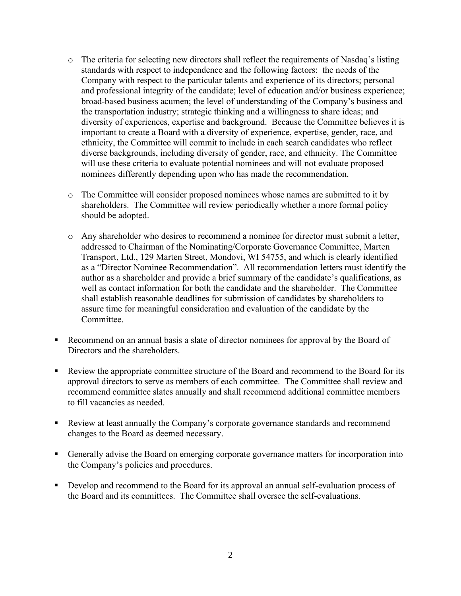- $\circ$  The criteria for selecting new directors shall reflect the requirements of Nasdaq's listing standards with respect to independence and the following factors: the needs of the Company with respect to the particular talents and experience of its directors; personal and professional integrity of the candidate; level of education and/or business experience; broad-based business acumen; the level of understanding of the Company's business and the transportation industry; strategic thinking and a willingness to share ideas; and diversity of experiences, expertise and background. Because the Committee believes it is important to create a Board with a diversity of experience, expertise, gender, race, and ethnicity, the Committee will commit to include in each search candidates who reflect diverse backgrounds, including diversity of gender, race, and ethnicity. The Committee will use these criteria to evaluate potential nominees and will not evaluate proposed nominees differently depending upon who has made the recommendation.
- o The Committee will consider proposed nominees whose names are submitted to it by shareholders. The Committee will review periodically whether a more formal policy should be adopted.
- o Any shareholder who desires to recommend a nominee for director must submit a letter, addressed to Chairman of the Nominating/Corporate Governance Committee, Marten Transport, Ltd., 129 Marten Street, Mondovi, WI 54755, and which is clearly identified as a "Director Nominee Recommendation". All recommendation letters must identify the author as a shareholder and provide a brief summary of the candidate's qualifications, as well as contact information for both the candidate and the shareholder. The Committee shall establish reasonable deadlines for submission of candidates by shareholders to assure time for meaningful consideration and evaluation of the candidate by the Committee.
- Recommend on an annual basis a slate of director nominees for approval by the Board of Directors and the shareholders.
- Review the appropriate committee structure of the Board and recommend to the Board for its approval directors to serve as members of each committee. The Committee shall review and recommend committee slates annually and shall recommend additional committee members to fill vacancies as needed.
- Review at least annually the Company's corporate governance standards and recommend changes to the Board as deemed necessary.
- Generally advise the Board on emerging corporate governance matters for incorporation into the Company's policies and procedures.
- Develop and recommend to the Board for its approval an annual self-evaluation process of the Board and its committees. The Committee shall oversee the self-evaluations.